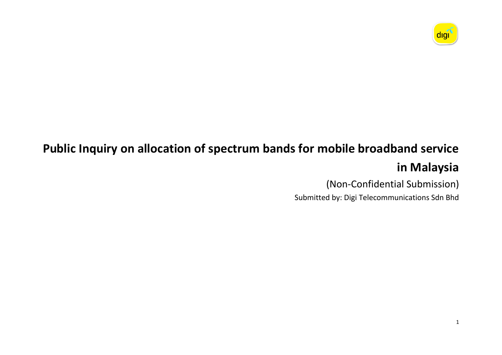

# **Public Inquiry on allocation of spectrum bands for mobile broadband service in Malaysia**

(Non-Confidential Submission) Submitted by: Digi Telecommunications Sdn Bhd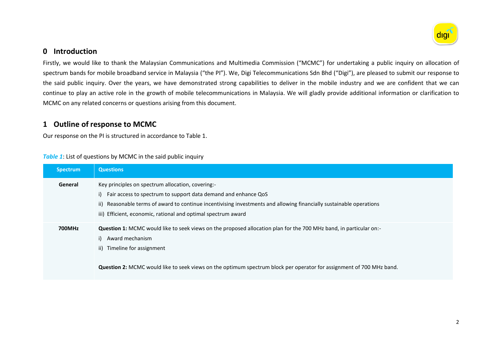

### **0 Introduction**

Firstly, we would like to thank the Malaysian Communications and Multimedia Commission ("MCMC") for undertaking a public inquiry on allocation of spectrum bands for mobile broadband service in Malaysia ("the PI"). We, Digi Telecommunications Sdn Bhd ("Digi"), are pleased to submit our response to the said public inquiry. Over the years, we have demonstrated strong capabilities to deliver in the mobile industry and we are confident that we can continue to play an active role in the growth of mobile telecommunications in Malaysia. We will gladly provide additional information or clarification to MCMC on any related concerns or questions arising from this document.

### **1 Outline of response to MCMC**

Our response on the PI is structured in accordance to Table 1.

### *Table 1*: List of questions by MCMC in the said public inquiry

| <b>Spectrum</b> | <b>Questions</b>                                                                                                                                                                                                                                                                                                 |
|-----------------|------------------------------------------------------------------------------------------------------------------------------------------------------------------------------------------------------------------------------------------------------------------------------------------------------------------|
| General         | Key principles on spectrum allocation, covering:-<br>i) Fair access to spectrum to support data demand and enhance QoS<br>ii) Reasonable terms of award to continue incentivising investments and allowing financially sustainable operations<br>iii) Efficient, economic, rational and optimal spectrum award   |
| 700MHz          | <b>Question 1:</b> MCMC would like to seek views on the proposed allocation plan for the 700 MHz band, in particular on:-<br>Award mechanism<br>i)<br>ii) Timeline for assignment<br><b>Question 2:</b> MCMC would like to seek views on the optimum spectrum block per operator for assignment of 700 MHz band. |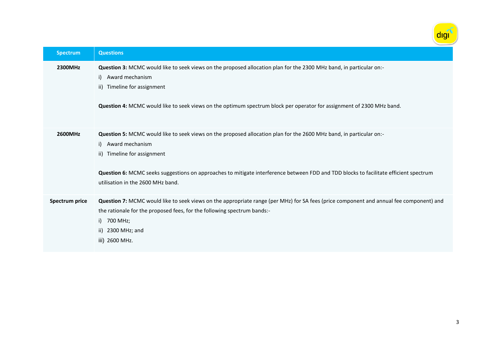

| <b>Spectrum</b>       | <b>Questions</b>                                                                                                                                                                                                                                                                                                                                             |
|-----------------------|--------------------------------------------------------------------------------------------------------------------------------------------------------------------------------------------------------------------------------------------------------------------------------------------------------------------------------------------------------------|
| 2300MHz               | Question 3: MCMC would like to seek views on the proposed allocation plan for the 2300 MHz band, in particular on:-<br>Award mechanism<br>i)<br>ii) Timeline for assignment<br>Question 4: MCMC would like to seek views on the optimum spectrum block per operator for assignment of 2300 MHz band.                                                         |
| 2600MHz               | Question 5: MCMC would like to seek views on the proposed allocation plan for the 2600 MHz band, in particular on:-<br>Award mechanism<br>i)<br>Timeline for assignment<br>ii)<br>Question 6: MCMC seeks suggestions on approaches to mitigate interference between FDD and TDD blocks to facilitate efficient spectrum<br>utilisation in the 2600 MHz band. |
| <b>Spectrum price</b> | Question 7: MCMC would like to seek views on the appropriate range (per MHz) for SA fees (price component and annual fee component) and<br>the rationale for the proposed fees, for the following spectrum bands:-<br>700 MHz;<br>i)<br>ii) 2300 MHz; and<br>iii) 2600 MHz.                                                                                  |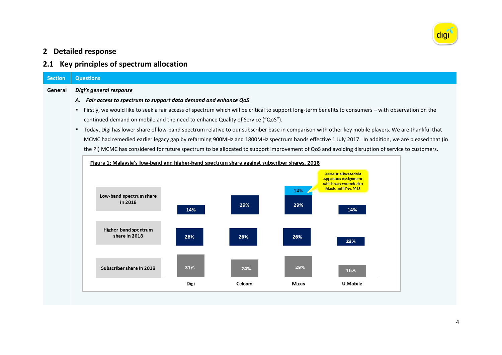

# **2 Detailed response**

# **2.1 Key principles of spectrum allocation**

| <b>Section</b> | <b>Questions</b>                                                                                                                                                     |  |  |  |
|----------------|----------------------------------------------------------------------------------------------------------------------------------------------------------------------|--|--|--|
| General        | Digi's general response                                                                                                                                              |  |  |  |
|                | Fair access to spectrum to support data demand and enhance QoS<br>А.                                                                                                 |  |  |  |
|                | Firstly, we would like to seek a fair access of spectrum which will be critical to support long-term benefits to consumers - with observation on the                 |  |  |  |
|                | continued demand on mobile and the need to enhance Quality of Service ("QoS").                                                                                       |  |  |  |
|                | Today, Digi has lower share of low-band spectrum relative to our subscriber base in comparison with other key mobile players. We are thankful that<br>$\blacksquare$ |  |  |  |
|                | MCMC had remedied earlier legacy gap by refarming 900MHz and 1800MHz spectrum bands effective 1 July 2017. In addition, we are pleased that (in                      |  |  |  |
|                | the PI) MCMC has considered for future spectrum to be allocated to support improvement of QoS and avoiding disruption of service to customers.                       |  |  |  |
|                | Figure 1: Malaysia's low-band and higher-band spectrum share against subscriber shares, 2018                                                                         |  |  |  |
|                | 900MHz allocated via<br><b>Apparatus Assignment</b>                                                                                                                  |  |  |  |
|                | which was extended to<br><b>Maxis until Dec 2018</b><br>14%<br>Low-band spectrum share                                                                               |  |  |  |
|                | in 2018<br>29%<br>29%                                                                                                                                                |  |  |  |
|                | 14%<br>14%                                                                                                                                                           |  |  |  |
|                | <b>Higher-band spectrum</b>                                                                                                                                          |  |  |  |
|                | share in 2018<br>26%<br>26%<br>26%<br>23%                                                                                                                            |  |  |  |
|                |                                                                                                                                                                      |  |  |  |
|                |                                                                                                                                                                      |  |  |  |
|                | 29%<br>31%<br>Subscriber share in 2018<br>24%<br>16%                                                                                                                 |  |  |  |
|                | Digi<br>U Mobile<br>Celcom<br><b>Maxis</b>                                                                                                                           |  |  |  |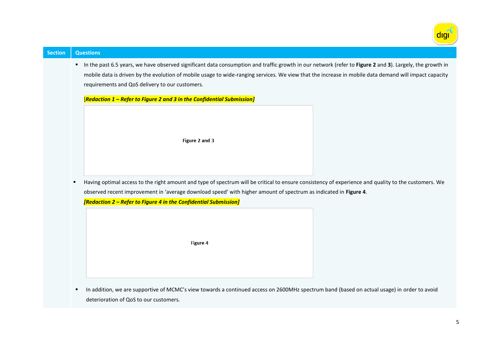

| <b>Section</b> |    | <b>Questions</b>                                                                                                                                                                                                                                                                                                                                                                                                                               |
|----------------|----|------------------------------------------------------------------------------------------------------------------------------------------------------------------------------------------------------------------------------------------------------------------------------------------------------------------------------------------------------------------------------------------------------------------------------------------------|
|                | л. | In the past 6.5 years, we have observed significant data consumption and traffic growth in our network (refer to Figure 2 and 3). Largely, the growth in<br>mobile data is driven by the evolution of mobile usage to wide-ranging services. We view that the increase in mobile data demand will impact capacity<br>requirements and QoS delivery to our customers.<br>[Redaction 1 – Refer to Figure 2 and 3 in the Confidential Submission] |
|                |    | Figure 2 and 3                                                                                                                                                                                                                                                                                                                                                                                                                                 |
|                | ٠  | Having optimal access to the right amount and type of spectrum will be critical to ensure consistency of experience and quality to the customers. We                                                                                                                                                                                                                                                                                           |
|                |    | observed recent improvement in 'average download speed' with higher amount of spectrum as indicated in Figure 4.                                                                                                                                                                                                                                                                                                                               |
|                |    | [Redaction 2 – Refer to Figure 4 in the Confidential Submission]                                                                                                                                                                                                                                                                                                                                                                               |
|                |    | Figure 4                                                                                                                                                                                                                                                                                                                                                                                                                                       |
|                |    |                                                                                                                                                                                                                                                                                                                                                                                                                                                |
|                | ٠  | In addition, we are supportive of MCMC's view towards a continued access on 2600MHz spectrum band (based on actual usage) in order to avoid                                                                                                                                                                                                                                                                                                    |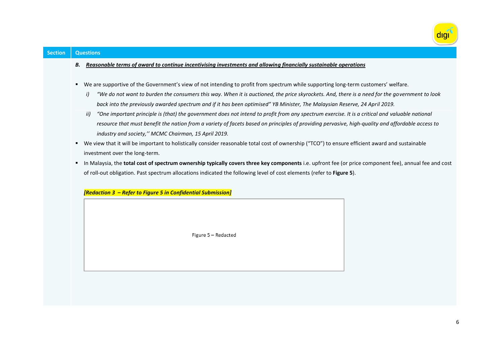

- We are supportive of the Government's view of not intending to profit from spectrum while supporting long-term customers' welfare.
	- *i) "We do not want to burden the consumers this way. When it is auctioned, the price skyrockets. And, there is a need for the government to look back into the previously awarded spectrum and if it has been optimised" YB Minister, The Malaysian Reserve, 24 April 2019.*
	- *ii)* "One important principle is (that) the government does not intend to profit from any spectrum exercise. It is a critical and valuable national *resource that must benefit the nation from a variety of facets based on principles of providing pervasive, high-quality and affordable access to industry and society,'' MCMC Chairman, 15 April 2019.*
- We view that it will be important to holistically consider reasonable total cost of ownership ("TCO") to ensure efficient award and sustainable investment over the long-term.
- In Malaysia, the **total cost of spectrum ownership typically covers three key components** i.e. upfront fee (or price component fee), annual fee and cost of roll-out obligation. Past spectrum allocations indicated the following level of cost elements (refer to **Figure 5**).

| [Redaction 3 – Refer to Figure 5 in Confidential Submission] |  |                     |  |
|--------------------------------------------------------------|--|---------------------|--|
|                                                              |  |                     |  |
|                                                              |  | Figure 5 - Redacted |  |
|                                                              |  |                     |  |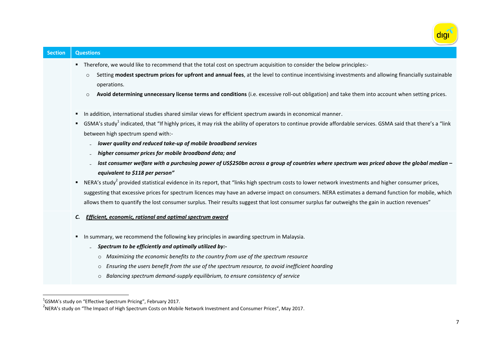

| <b>Section</b> | <b>Questions</b>                                                                                                                                                                                                                                                                                                                                                                                                                                                                                                                                                                                                                                                                                                                                                                                                                                                                                                                                                                                                                                                                                                                      |
|----------------|---------------------------------------------------------------------------------------------------------------------------------------------------------------------------------------------------------------------------------------------------------------------------------------------------------------------------------------------------------------------------------------------------------------------------------------------------------------------------------------------------------------------------------------------------------------------------------------------------------------------------------------------------------------------------------------------------------------------------------------------------------------------------------------------------------------------------------------------------------------------------------------------------------------------------------------------------------------------------------------------------------------------------------------------------------------------------------------------------------------------------------------|
|                | "Therefore, we would like to recommend that the total cost on spectrum acquisition to consider the below principles:-<br>Setting modest spectrum prices for upfront and annual fees, at the level to continue incentivising investments and allowing financially sustainable<br>$\circ$<br>operations.<br>Avoid determining unnecessary license terms and conditions (i.e. excessive roll-out obligation) and take them into account when setting prices.<br>$\circ$                                                                                                                                                                                                                                                                                                                                                                                                                                                                                                                                                                                                                                                                  |
|                | In addition, international studies shared similar views for efficient spectrum awards in economical manner.<br>٠<br>GSMA's study <sup>1</sup> indicated, that "If highly prices, it may risk the ability of operators to continue provide affordable services. GSMA said that there's a "link<br>٠<br>between high spectrum spend with:-<br>lower quality and reduced take-up of mobile broadband services<br>higher consumer prices for mobile broadband data; and<br>lost consumer welfare with a purchasing power of US\$250bn across a group of countries where spectrum was priced above the global median -<br>equivalent to \$118 per person"<br>NERA's study <sup>2</sup> provided statistical evidence in its report, that "links high spectrum costs to lower network investments and higher consumer prices,<br>٠<br>suggesting that excessive prices for spectrum licences may have an adverse impact on consumers. NERA estimates a demand function for mobile, which<br>allows them to quantify the lost consumer surplus. Their results suggest that lost consumer surplus far outweighs the gain in auction revenues" |
|                | Efficient, economic, rational and optimal spectrum award<br>C.<br>In summary, we recommend the following key principles in awarding spectrum in Malaysia.<br>٠<br>Spectrum to be efficiently and optimally utilized by:-<br>Maximizing the economic benefits to the country from use of the spectrum resource<br>$\circ$<br>Ensuring the users benefit from the use of the spectrum resource, to avoid inefficient hoarding<br>$\circ$<br>Balancing spectrum demand-supply equilibrium, to ensure consistency of service<br>$\circ$                                                                                                                                                                                                                                                                                                                                                                                                                                                                                                                                                                                                   |

 1 GSMA's study on "Effective Spectrum Pricing", February 2017. 2 NERA's study on "The Impact of High Spectrum Costs on Mobile Network Investment and Consumer Prices", May 2017.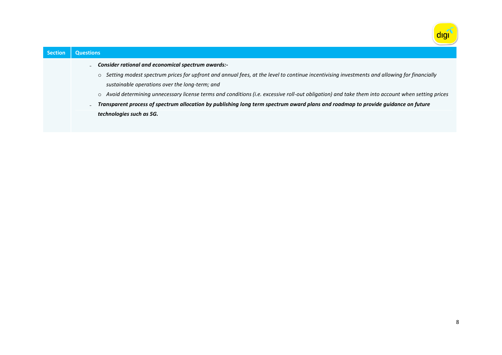

| <b>Section</b> | <b>Questions</b>                                                                                                                                       |
|----------------|--------------------------------------------------------------------------------------------------------------------------------------------------------|
|                | Consider rational and economical spectrum awards:-                                                                                                     |
|                | o Setting modest spectrum prices for upfront and annual fees, at the level to continue incentivising investments and allowing for financially          |
|                | sustainable operations over the long-term; and                                                                                                         |
|                | $\circ$ Avoid determining unnecessary license terms and conditions (i.e. excessive roll-out obligation) and take them into account when setting prices |
|                | Transparent process of spectrum allocation by publishing long term spectrum award plans and roadmap to provide guidance on future                      |
|                | technologies such as 5G.                                                                                                                               |
|                |                                                                                                                                                        |
|                |                                                                                                                                                        |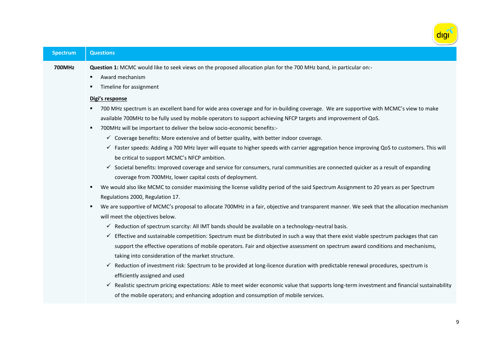

### **Spectrum Questions 700MHz Question 1:** MCMC would like to seek views on the proposed allocation plan for the 700 MHz band, in particular on:- Award mechanism **Timeline for assignment Digi's response** 700 MHz spectrum is an excellent band for wide area coverage and for in-building coverage. We are supportive with MCMC's view to make available 700MHz to be fully used by mobile operators to support achieving NFCP targets and improvement of QoS. 700MHz will be important to deliver the below socio-economic benefits:-  $\checkmark$  Coverage benefits: More extensive and of better quality, with better indoor coverage. Faster speeds: Adding a 700 MHz layer will equate to higher speeds with carrier aggregation hence improving QoS to customers. This will be critical to support MCMC's NFCP ambition.  $\checkmark$  Societal benefits: Improved coverage and service for consumers, rural communities are connected quicker as a result of expanding coverage from 700MHz, lower capital costs of deployment. We would also like MCMC to consider maximising the license validity period of the said Spectrum Assignment to 20 years as per Spectrum Regulations 2000, Regulation 17. We are supportive of MCMC's proposal to allocate 700MHz in a fair, objective and transparent manner. We seek that the allocation mechanism will meet the objectives below.  $\checkmark$  Reduction of spectrum scarcity: All IMT bands should be available on a technology-neutral basis.  $\checkmark$  Effective and sustainable competition: Spectrum must be distributed in such a way that there exist viable spectrum packages that can support the effective operations of mobile operators. Fair and objective assessment on spectrum award conditions and mechanisms, taking into consideration of the market structure.  $\checkmark$  Reduction of investment risk: Spectrum to be provided at long-licence duration with predictable renewal procedures, spectrum is efficiently assigned and used  $\checkmark$  Realistic spectrum pricing expectations: Able to meet wider economic value that supports long-term investment and financial sustainability of the mobile operators; and enhancing adoption and consumption of mobile services.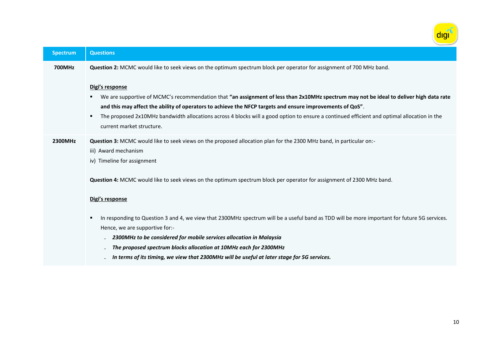

| <b>Spectrum</b> | <b>Questions</b>                                                                                                                                                                                                                                                                                                                                                                                                                                    |
|-----------------|-----------------------------------------------------------------------------------------------------------------------------------------------------------------------------------------------------------------------------------------------------------------------------------------------------------------------------------------------------------------------------------------------------------------------------------------------------|
| <b>700MHz</b>   | Question 2: MCMC would like to seek views on the optimum spectrum block per operator for assignment of 700 MHz band.                                                                                                                                                                                                                                                                                                                                |
|                 | Digi's response<br>We are supportive of MCMC's recommendation that "an assignment of less than 2x10MHz spectrum may not be ideal to deliver high data rate<br>and this may affect the ability of operators to achieve the NFCP targets and ensure improvements of QoS".<br>The proposed 2x10MHz bandwidth allocations across 4 blocks will a good option to ensure a continued efficient and optimal allocation in the<br>current market structure. |
| 2300MHz         | Question 3: MCMC would like to seek views on the proposed allocation plan for the 2300 MHz band, in particular on:-<br>iii) Award mechanism<br>iv) Timeline for assignment                                                                                                                                                                                                                                                                          |
|                 | Question 4: MCMC would like to seek views on the optimum spectrum block per operator for assignment of 2300 MHz band.                                                                                                                                                                                                                                                                                                                               |
|                 | Digi's response                                                                                                                                                                                                                                                                                                                                                                                                                                     |
|                 | In responding to Question 3 and 4, we view that 2300MHz spectrum will be a useful band as TDD will be more important for future 5G services.<br>Hence, we are supportive for:-                                                                                                                                                                                                                                                                      |
|                 | 2300MHz to be considered for mobile services allocation in Malaysia                                                                                                                                                                                                                                                                                                                                                                                 |
|                 | The proposed spectrum blocks allocation at 10MHz each for 2300MHz                                                                                                                                                                                                                                                                                                                                                                                   |
|                 | In terms of its timing, we view that 2300MHz will be useful at later stage for 5G services.                                                                                                                                                                                                                                                                                                                                                         |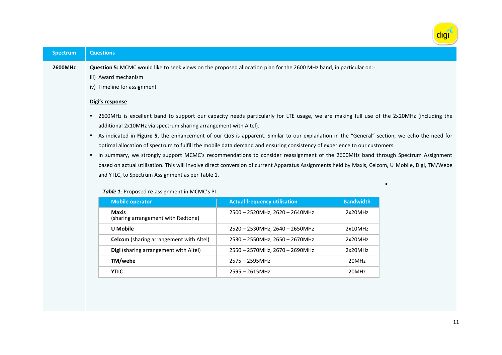

 $\blacksquare$ 

| <b>Spectrum</b> | <b>Questions</b>                                                                                                                                                                              |
|-----------------|-----------------------------------------------------------------------------------------------------------------------------------------------------------------------------------------------|
| 2600MHz         | Question 5: MCMC would like to seek views on the proposed allocation plan for the 2600 MHz band, in particular on:-<br>iii) Award mechanism<br>iv) Timeline for assignment<br>Digi's response |

- 2600MHz is excellent band to support our capacity needs particularly for LTE usage, we are making full use of the 2x20MHz (including the additional 2x10MHz via spectrum sharing arrangement with Altel).
- As indicated in **Figure 5**, the enhancement of our QoS is apparent. Similar to our explanation in the "General" section, we echo the need for optimal allocation of spectrum to fulfill the mobile data demand and ensuring consistency of experience to our customers.
- In summary, we strongly support MCMC's recommendations to consider reassignment of the 2600MHz band through Spectrum Assignment based on actual utilisation. This will involve direct conversion of current Apparatus Assignments held by Maxis, Celcom, U Mobile, Digi, TM/Webe and YTLC, to Spectrum Assignment as per Table 1.

#### *Table 1*: Proposed re-assignment in MCMC's PI

| <b>Mobile operator</b>                             | <b>Actual frequency utilisation</b>  | <b>Bandwidth</b> |
|----------------------------------------------------|--------------------------------------|------------------|
| <b>Maxis</b><br>(sharing arrangement with Redtone) | 2500 - 2520MHz, 2620 - 2640MHz       | 2x20MHz          |
| U Mobile                                           | 2520 - 2530MHz, 2640 - 2650MHz       | 2x10MHz          |
| <b>Celcom</b> (sharing arrangement with Altel)     | $2530 - 2550$ MHz, $2650 - 2670$ MHz | 2x20MHz          |
| Digi (sharing arrangement with Altel)              | 2550 - 2570MHz, 2670 - 2690MHz       | 2x20MHz          |
| TM/webe                                            | $2575 - 2595$ MHz                    | 20MHz            |
| <b>YTLC</b>                                        | $2595 - 2615$ MHz                    | 20MHz            |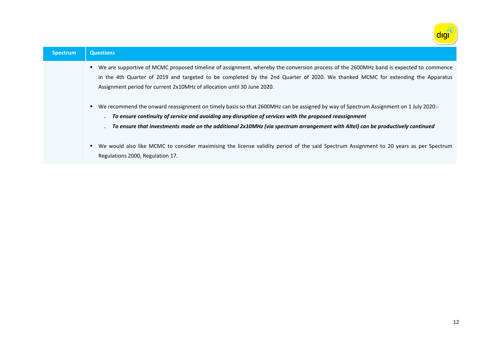

| <b>Spectrum</b> | <b>Questions</b>                                                                                                                                                                                                                                                                                                                                                                                                                                                                                                                                                                                                                                                                                                                                                                                                                                                                                                    |
|-----------------|---------------------------------------------------------------------------------------------------------------------------------------------------------------------------------------------------------------------------------------------------------------------------------------------------------------------------------------------------------------------------------------------------------------------------------------------------------------------------------------------------------------------------------------------------------------------------------------------------------------------------------------------------------------------------------------------------------------------------------------------------------------------------------------------------------------------------------------------------------------------------------------------------------------------|
|                 | We are supportive of MCMC proposed timeline of assignment, whereby the conversion process of the 2600MHz band is expected to commence<br>in the 4th Quarter of 2019 and targeted to be completed by the 2nd Quarter of 2020. We thanked MCMC for extending the Apparatus<br>Assignment period for current 2x10MHz of allocation until 30 June 2020.<br>We recommend the onward reassignment on timely basis so that 2600MHz can be assigned by way of Spectrum Assignment on 1 July 2020:-<br>To ensure continuity of service and avoiding any disruption of services with the proposed reassignment<br>To ensure that investments made on the additional 2x10MHz (via spectrum arrangement with Altel) can be productively continued<br>We would also like MCMC to consider maximising the license validity period of the said Spectrum Assignment to 20 years as per Spectrum<br>Regulations 2000, Regulation 17. |
|                 |                                                                                                                                                                                                                                                                                                                                                                                                                                                                                                                                                                                                                                                                                                                                                                                                                                                                                                                     |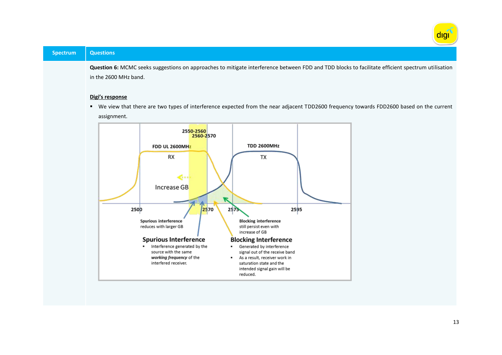

#### **Spectrum Questions**

**Question 6:** MCMC seeks suggestions on approaches to mitigate interference between FDD and TDD blocks to facilitate efficient spectrum utilisation in the 2600 MHz band.

#### **Digi's response**

 We view that there are two types of interference expected from the near adjacent TDD2600 frequency towards FDD2600 based on the current assignment.

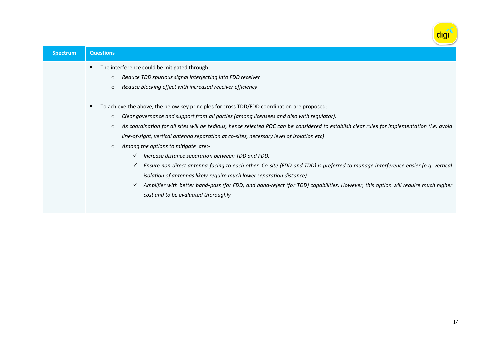|                 | digi                                                                                                                                                                                                                                                                                                                                                                                                                                                                                                                                                                                                                                                                                                                                                                                                                                                                                                                                                                                                         |
|-----------------|--------------------------------------------------------------------------------------------------------------------------------------------------------------------------------------------------------------------------------------------------------------------------------------------------------------------------------------------------------------------------------------------------------------------------------------------------------------------------------------------------------------------------------------------------------------------------------------------------------------------------------------------------------------------------------------------------------------------------------------------------------------------------------------------------------------------------------------------------------------------------------------------------------------------------------------------------------------------------------------------------------------|
| <b>Spectrum</b> | <b>Questions</b>                                                                                                                                                                                                                                                                                                                                                                                                                                                                                                                                                                                                                                                                                                                                                                                                                                                                                                                                                                                             |
|                 | The interference could be mitigated through:-<br>п<br>Reduce TDD spurious signal interjecting into FDD receiver<br>$\circ$<br>Reduce blocking effect with increased receiver efficiency<br>$\circ$                                                                                                                                                                                                                                                                                                                                                                                                                                                                                                                                                                                                                                                                                                                                                                                                           |
|                 | To achieve the above, the below key principles for cross TDD/FDD coordination are proposed:-<br>п<br>Clear governance and support from all parties (among licensees and also with regulator).<br>$\circ$<br>As coordination for all sites will be tedious, hence selected POC can be considered to establish clear rules for implementation (i.e. avoid<br>$\circ$<br>line-of-sight, vertical antenna separation at co-sites, necessary level of isolation etc)<br>Among the options to mitigate are:-<br>$\circ$<br>Increase distance separation between TDD and FDD.<br>$\checkmark$<br>Ensure non-direct antenna facing to each other. Co-site (FDD and TDD) is preferred to manage interference easier (e.g. vertical<br>$\checkmark$<br>isolation of antennas likely require much lower separation distance).<br>Amplifier with better band-pass (for FDD) and band-reject (for TDD) capabilities. However, this option will require much higher<br>$\checkmark$<br>cost and to be evaluated thoroughly |